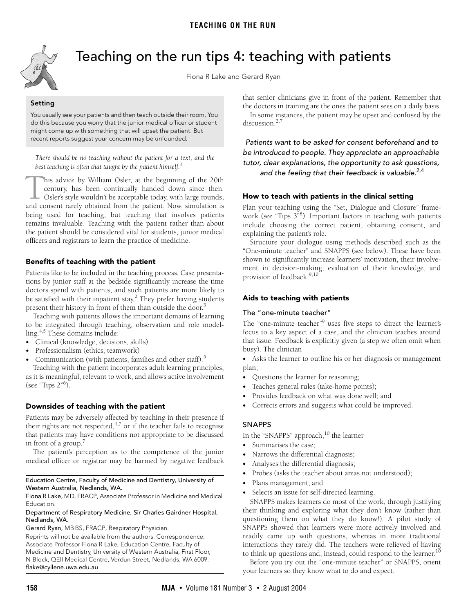<span id="page-0-0"></span>

# Teaching on the run tips 4: teaching with patients

Fiona R Lake and Gerard Ryan

**Setting** You usually see your patients and then teach outside their room. You do this because you worry that the junior medical officer or student might come up with something that will upset the patient. But recent reports suggest your concern may be unfounded.

*There should be no teaching without the patient for a text, and the best teaching is often that taught by the patient himself.[1](#page-1-0)*

his advice by William Osler, at the beginning of the 20th century, has been continually handed down since then.  $\perp$  Osler's style wouldn't be acceptable today, with large rounds, This advice by William Osler, at the beginning of the 20th century, has been continually handed down since then.<br>Osler's style wouldn't be acceptable today, with large rounds, and consent rarely obtained from the patient. being used for teaching, but teaching that involves patients remains invaluable. Teaching with the patient rather than about the patient should be considered vital for students, junior medical officers and registrars to learn the practice of medicine.

# **Benefits of teaching with the patient**

doctors spend with patients, and such patients are more likely to be satisfied with their inpatient [stay](#page-0-0).<sup>2</sup> They prefer having students present their history in front of them than outside the door.<sup>[3](#page-1-2)</sup> Patients like to be included in the teaching process. Case presentations by junior staff at the bedside significantly increase the time

Teaching with patients allows the important domains of learning to be integrated through teaching, observation and role modelling.[4](#page-1-3),[5](#page-1-4) These domains include:

- **•** Clinical (knowledge, decisions, skills)
- **•** Professionalism (ethics, teamwork)
- **•** Communication (with patients, families and other staff).[5](#page-1-4)

Teaching with the patient incorporates adult learning principles, as it is meaningful, relevant to work, and allows active involvement (see "Tips 2"<sup>[6](#page-1-5)</sup>).

#### **Downsides of teaching with the patient**

Patients may be adversely affected by teaching in their presence if their rights are not respected, $4,7$  $4,7$  $4,7$  or if the teacher fails to recognise that patients may have conditions not appropriate to be discussed in front of a group[.7](#page-1-6)

The patient's perception as to the competence of the junior medical officer or registrar may be harmed by negative feedback

#### Education Centre, Faculty of Medicine and Dentistry, University of Western Australia, Nedlands, WA.

Fiona R Lake, MD, FRACP, Associate Professor in Medicine and Medical Education.

#### Department of Respiratory Medicine, Sir Charles Gairdner Hospital, Nedlands, WA.

Gerard Ryan, MB BS, FRACP, Respiratory Physician.

Reprints will not be available from the authors. Correspondence: Associate Professor Fiona R Lake, Education Centre, Faculty of Medicine and Dentistry, University of Western Australia, First Floor, N Block, QEII Medical Centre, Verdun Street, Nedlands, WA 6009. flake@cyllene.uwa.edu.au

that senior clinicians give in front of the patient. Remember that the doctors in training are the ones the patient sees on a daily basis. In some instances, the patient may be upset and confused by the discussion.<sup>[2](#page-1-1)[,7](#page-1-6)</sup>

Patients want to be asked for consent beforehand and to be introduced to people. They appreciate an approachable tutor, clear explanations, the opportunity to ask questions, and the feeling that their feedback is valuable. $^{2,4}$  $^{2,4}$  $^{2,4}$  $^{2,4}$ 

## **How to teach with patients in the clinical setting**

Plan your teaching using the "Set, Dialogue and Closure" frame-work (see "Tips 3"[8](#page-1-7)). Important factors in teaching with patients include choosing the correct patient, obtaining consent, and explaining the patient's role.

Structure your dialogue using methods described such as the "One-minute teacher" and SNAPPS (see below). These have been shown to significantly increase learners' motivation, their involvement in decision-making, evaluation of their knowledge, and provision of feedback.<sup>9[,10](#page-1-9)</sup>

## **Aids to teaching with patients**

#### The "one-minute teacher"

The "one-minute teacher"<sup>[9](#page-1-8)</sup> uses five steps to direct the learner's focus to a key aspect of a case, and the clinician teaches around that issue. Feedback is explicitly given (a step we often omit when busy). The clinician

**•** Asks the learner to outline his or her diagnosis or management plan;

- **•** Questions the learner for reasoning;
- **•** Teaches general rules (take-home points);
- **•** Provides feedback on what was done well; and
- **•** Corrects errors and suggests what could be improved.

#### SNAPPS

In the "SNAPPS" approach, $^{10}$  $^{10}$  $^{10}$  the learner

- **•** Summarises the case;
- **•** Narrows the differential diagnosis;
- **•** Analyses the differential diagnosis;
- **•** Probes (asks the teacher about areas not understood);
- **•** Plans management; and
- **•** Selects an issue for self-directed learning.

SNAPPS makes learners do most of the work, through justifying their thinking and exploring what they don't know (rather than questioning them on what they do know!). A pilot study of SNAPPS showed that learners were more actively involved and readily came up with questions, whereas in more traditional interactions they rarely did. The teachers were relieved of having to think up questions and, instead, could respond to the learner.<sup>[10](#page-1-9)</sup>

Before you try out the "one-minute teacher" or SNAPPS, orient your learners so they know what to do and expect.